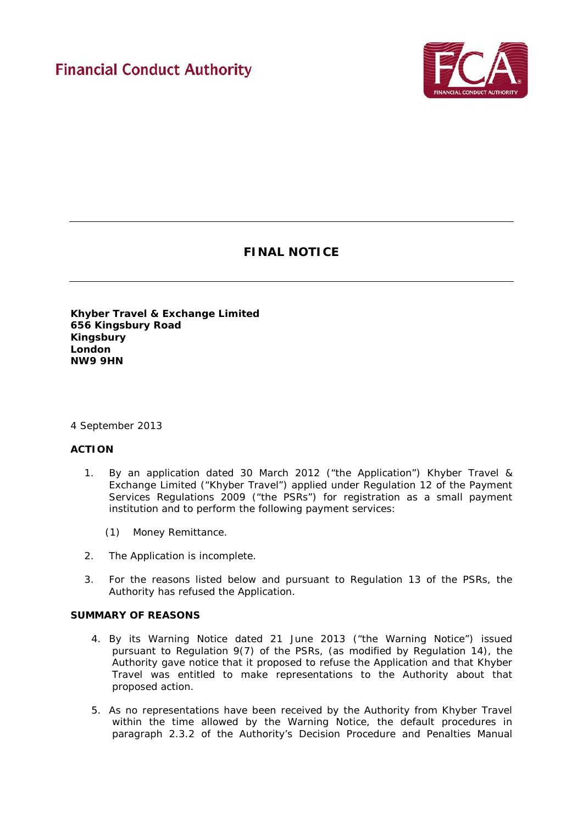# **Financial Conduct Authority**



# **FINAL NOTICE**

**Khyber Travel & Exchange Limited 656 Kingsbury Road Kingsbury London NW9 9HN**

#### 4 September 2013

### **ACTION**

- 1. By an application dated 30 March 2012 ("the Application") Khyber Travel & Exchange Limited ("Khyber Travel") applied under Regulation 12 of the Payment Services Regulations 2009 ("the PSRs") for registration as a small payment institution and to perform the following payment services:
	- (1) Money Remittance.
- 2. The Application is incomplete.
- 3. For the reasons listed below and pursuant to Regulation 13 of the PSRs, the Authority has refused the Application.

#### **SUMMARY OF REASONS**

- 4. By its Warning Notice dated 21 June 2013 ("the Warning Notice") issued pursuant to Regulation 9(7) of the PSRs, (as modified by Regulation 14), the Authority gave notice that it proposed to refuse the Application and that Khyber Travel was entitled to make representations to the Authority about that proposed action.
- 5. As no representations have been received by the Authority from Khyber Travel within the time allowed by the Warning Notice, the default procedures in paragraph 2.3.2 of the Authority's Decision Procedure and Penalties Manual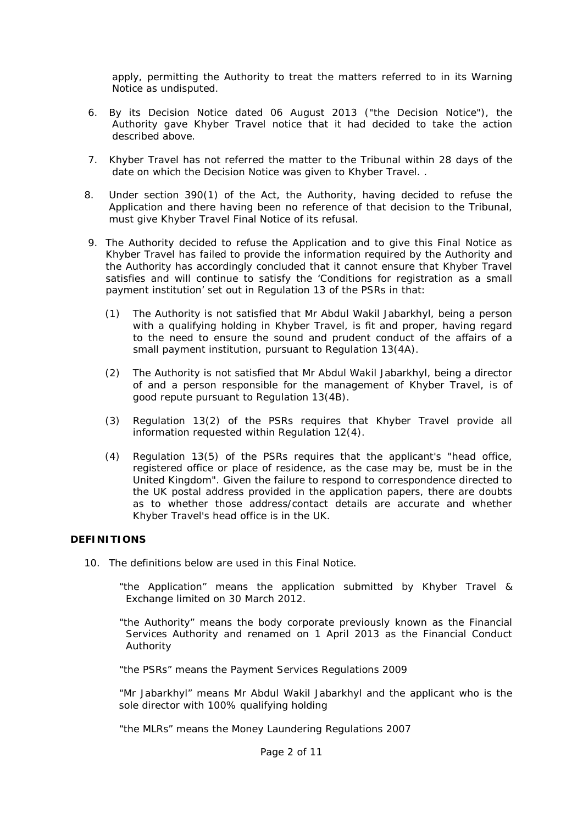apply, permitting the Authority to treat the matters referred to in its Warning Notice as undisputed.

- 6. By its Decision Notice dated 06 August 2013 ("the Decision Notice"), the Authority gave Khyber Travel notice that it had decided to take the action described above.
- 7. Khyber Travel has not referred the matter to the Tribunal within 28 days of the date on which the Decision Notice was given to Khyber Travel. .
- 8. Under section 390(1) of the Act, the Authority, having decided to refuse the Application and there having been no reference of that decision to the Tribunal, must give Khyber Travel Final Notice of its refusal.
- 9. The Authority decided to refuse the Application and to give this Final Notice as Khyber Travel has failed to provide the information required by the Authority and the Authority has accordingly concluded that it cannot ensure that Khyber Travel satisfies and will continue to satisfy the 'Conditions for registration as a small payment institution' set out in Regulation 13 of the PSRs in that:
	- (1) The Authority is not satisfied that Mr Abdul Wakil Jabarkhyl, being a person with a qualifying holding in Khyber Travel, is fit and proper, having regard to the need to ensure the sound and prudent conduct of the affairs of a small payment institution, pursuant to Regulation 13(4A).
	- (2) The Authority is not satisfied that Mr Abdul Wakil Jabarkhyl, being a director of and a person responsible for the management of Khyber Travel, is of good repute pursuant to Regulation 13(4B).
	- (3) Regulation 13(2) of the PSRs requires that Khyber Travel provide all information requested within Regulation 12(4).
	- (4) Regulation 13(5) of the PSRs requires that the applicant's "*head office, registered office or place of residence, as the case may be, must be in the United Kingdom*". Given the failure to respond to correspondence directed to the UK postal address provided in the application papers, there are doubts as to whether those address/contact details are accurate and whether Khyber Travel's head office is in the UK.

#### **DEFINITIONS**

- 10. The definitions below are used in this Final Notice.
	- "the Application" means the application submitted by Khyber Travel & Exchange limited on 30 March 2012.
	- "the Authority" means the body corporate previously known as the Financial Services Authority and renamed on 1 April 2013 as the Financial Conduct Authority

"the PSRs" means the Payment Services Regulations 2009

"Mr Jabarkhyl" means Mr Abdul Wakil Jabarkhyl and the applicant who is the sole director with 100% qualifying holding

"the MLRs" means the Money Laundering Regulations 2007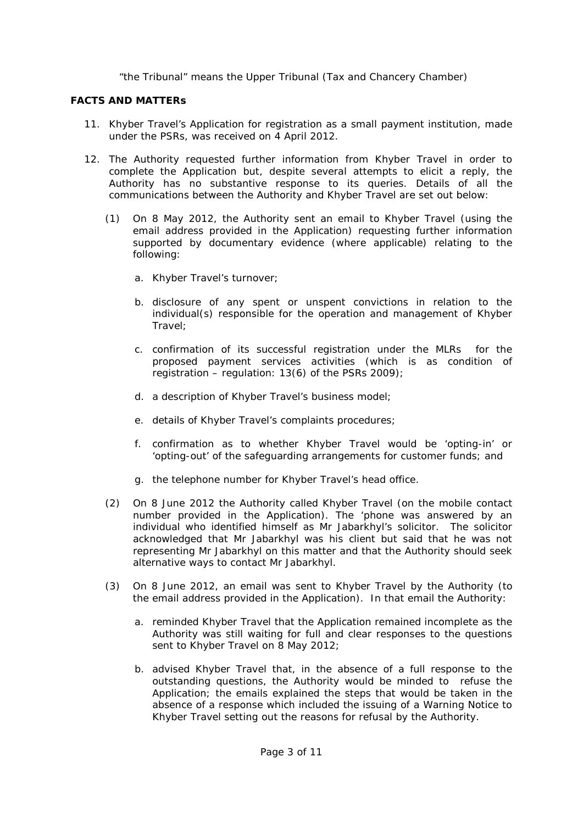"the Tribunal" means the Upper Tribunal (Tax and Chancery Chamber)

### **FACTS AND MATTERs**

- 11. Khyber Travel's Application for registration as a small payment institution, made under the PSRs, was received on 4 April 2012.
- 12. The Authority requested further information from Khyber Travel in order to complete the Application but, despite several attempts to elicit a reply, the Authority has no substantive response to its queries. Details of all the communications between the Authority and Khyber Travel are set out below:
	- (1) On 8 May 2012, the Authority sent an email to Khyber Travel (using the email address provided in the Application) requesting further information supported by documentary evidence (where applicable) relating to the following*:*
		- a. Khyber Travel's turnover;
		- b. disclosure of any spent or unspent convictions in relation to the individual(s) responsible for the operation and management of Khyber Travel;
		- c. confirmation of its successful registration under the MLRs for the proposed payment services activities (which is as condition of registration – regulation: 13(6) of the PSRs 2009);
		- d. a description of Khyber Travel's business model;
		- e. details of Khyber Travel's complaints procedures;
		- f. confirmation as to whether Khyber Travel would be 'opting-in' or 'opting-out' of the safeguarding arrangements for customer funds; and
		- g. the telephone number for Khyber Travel's head office.
	- (2) On 8 June 2012 the Authority called Khyber Travel (on the mobile contact number provided in the Application). The 'phone was answered by an individual who identified himself as Mr Jabarkhyl's solicitor. The solicitor acknowledged that Mr Jabarkhyl was his client but said that he was not representing Mr Jabarkhyl on this matter and that the Authority should seek alternative ways to contact Mr Jabarkhyl.
	- (3) On 8 June 2012, an email was sent to Khyber Travel by the Authority (to the email address provided in the Application). In that email the Authority:
		- a. reminded Khyber Travel that the Application remained incomplete as the Authority was still waiting for full and clear responses to the questions sent to Khyber Travel on 8 May 2012;
		- b. advised Khyber Travel that, in the absence of a full response to the outstanding questions, the Authority would be minded to refuse the Application; the emails explained the steps that would be taken in the absence of a response which included the issuing of a Warning Notice to Khyber Travel setting out the reasons for refusal by the Authority.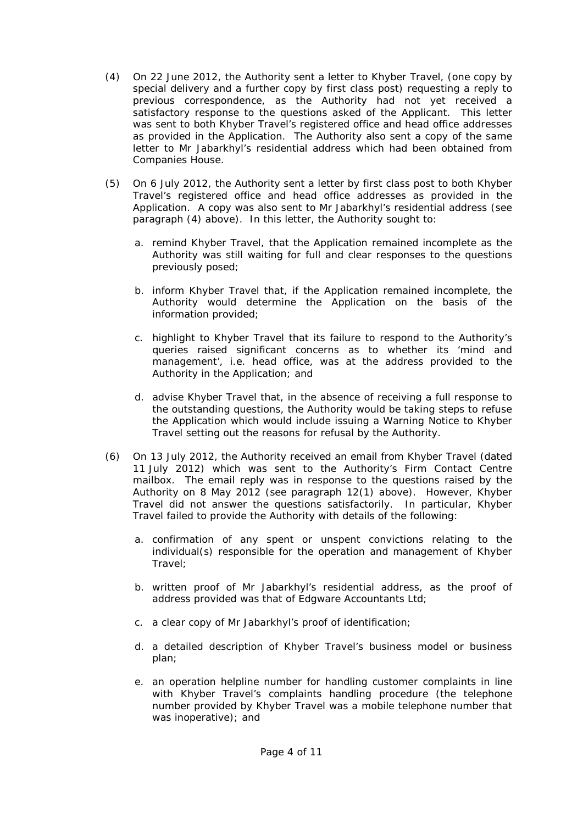- (4) On 22 June 2012, the Authority sent a letter to Khyber Travel, (one copy by special delivery and a further copy by first class post) requesting a reply to previous correspondence, as the Authority had not yet received a satisfactory response to the questions asked of the Applicant. This letter was sent to both Khyber Travel's registered office and head office addresses as provided in the Application. The Authority also sent a copy of the same letter to Mr Jabarkhyl's residential address which had been obtained from Companies House.
- (5) On 6 July 2012, the Authority sent a letter by first class post to both Khyber Travel's registered office and head office addresses as provided in the Application. A copy was also sent to Mr Jabarkhyl's residential address (see paragraph (4) above). In this letter, the Authority sought to:
	- a. remind Khyber Travel, that the Application remained incomplete as the Authority was still waiting for full and clear responses to the questions previously posed;
	- b. inform Khyber Travel that, if the Application remained incomplete, the Authority would determine the Application on the basis of the information provided;
	- c. highlight to Khyber Travel that its failure to respond to the Authority's queries raised significant concerns as to whether its 'mind and management', i.e. head office, was at the address provided to the Authority in the Application; and
	- d. advise Khyber Travel that, in the absence of receiving a full response to the outstanding questions, the Authority would be taking steps to refuse the Application which would include issuing a Warning Notice to Khyber Travel setting out the reasons for refusal by the Authority.
- (6) On 13 July 2012, the Authority received an email from Khyber Travel (dated 11 July 2012) which was sent to the Authority's Firm Contact Centre mailbox. The email reply was in response to the questions raised by the Authority on 8 May 2012 (see paragraph 12(1) above). However, Khyber Travel did not answer the questions satisfactorily. In particular, Khyber Travel failed to provide the Authority with details of the following:
	- a. confirmation of any spent or unspent convictions relating to the individual(s) responsible for the operation and management of Khyber Travel;
	- b. written proof of Mr Jabarkhyl's residential address, as the proof of address provided was that of Edgware Accountants Ltd;
	- c. a clear copy of Mr Jabarkhyl's proof of identification;
	- d. a detailed description of Khyber Travel's business model or business plan;
	- e. an operation helpline number for handling customer complaints in line with Khyber Travel's complaints handling procedure (the telephone number provided by Khyber Travel was a mobile telephone number that was inoperative); and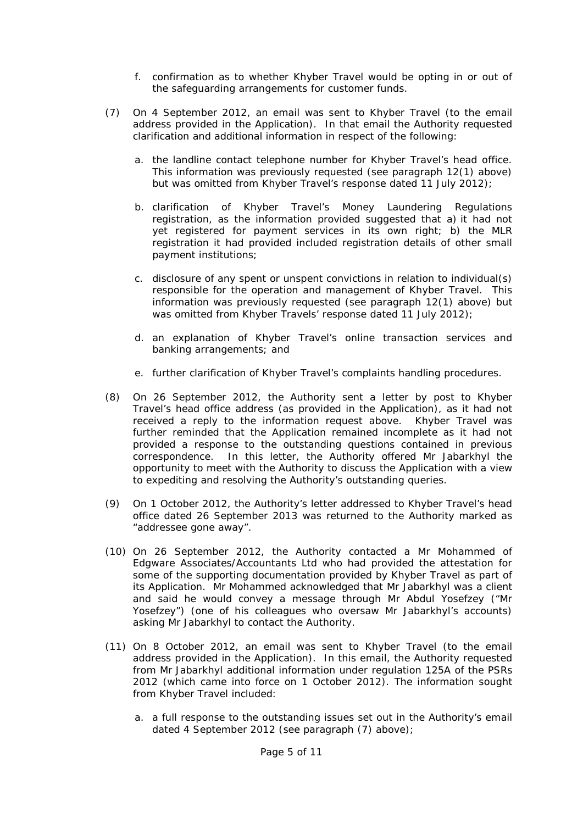- f. confirmation as to whether Khyber Travel would be opting in or out of the safeguarding arrangements for customer funds.
- (7) On 4 September 2012, an email was sent to Khyber Travel (to the email address provided in the Application). In that email the Authority requested clarification and additional information in respect of the following:
	- a. the landline contact telephone number for Khyber Travel's head office. This information was previously requested (see paragraph 12(1) above) but was omitted from Khyber Travel's response dated 11 July 2012);
	- b. clarification of Khyber Travel's Money Laundering Regulations registration, as the information provided suggested that a) it had not yet registered for payment services in its own right; b) the MLR registration it had provided included registration details of other small payment institutions;
	- c. disclosure of any spent or unspent convictions in relation to individual(s) responsible for the operation and management of Khyber Travel. This information was previously requested (see paragraph 12(1) above) but was omitted from Khyber Travels' response dated 11 July 2012);
	- d. an explanation of Khyber Travel's online transaction services and banking arrangements; and
	- e. further clarification of Khyber Travel's complaints handling procedures.
- (8) On 26 September 2012, the Authority sent a letter by post to Khyber Travel's head office address (as provided in the Application), as it had not received a reply to the information request above. Khyber Travel was further reminded that the Application remained incomplete as it had not provided a response to the outstanding questions contained in previous correspondence. In this letter, the Authority offered Mr Jabarkhyl the opportunity to meet with the Authority to discuss the Application with a view to expediting and resolving the Authority's outstanding queries.
- (9) On 1 October 2012, the Authority's letter addressed to Khyber Travel's head office dated 26 September 2013 was returned to the Authority marked as "*addressee gone away".*
- (10) On 26 September 2012, the Authority contacted a Mr Mohammed of Edgware Associates/Accountants Ltd who had provided the attestation for some of the supporting documentation provided by Khyber Travel as part of its Application. Mr Mohammed acknowledged that Mr Jabarkhyl was a client and said he would convey a message through Mr Abdul Yosefzey ("Mr Yosefzey") (one of his colleagues who oversaw Mr Jabarkhyl's accounts) asking Mr Jabarkhyl to contact the Authority.
- (11) On 8 October 2012, an email was sent to Khyber Travel (to the email address provided in the Application). In this email, the Authority requested from Mr Jabarkhyl additional information under regulation 125A of the PSRs 2012 (which came into force on 1 October 2012). The information sought from Khyber Travel included:
	- a. a full response to the outstanding issues set out in the Authority's email dated 4 September 2012 (see paragraph (7) above);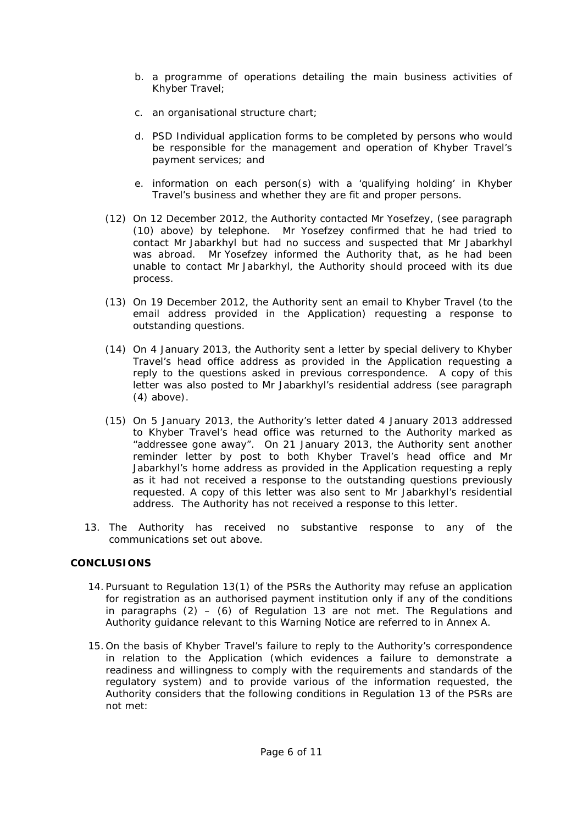- b. a programme of operations detailing the main business activities of Khyber Travel;
- c. an organisational structure chart;
- d. PSD Individual application forms to be completed by persons who would be responsible for the management and operation of Khyber Travel's payment services; and
- e. information on each person(s) with a 'qualifying holding' in Khyber Travel's business and whether they are fit and proper persons.
- (12) On 12 December 2012, the Authority contacted Mr Yosefzey, (see paragraph (10) above) by telephone. Mr Yosefzey confirmed that he had tried to contact Mr Jabarkhyl but had no success and suspected that Mr Jabarkhyl was abroad. Mr Yosefzey informed the Authority that, as he had been unable to contact Mr Jabarkhyl, the Authority should proceed with its due process.
- (13) On 19 December 2012, the Authority sent an email to Khyber Travel (to the email address provided in the Application) requesting a response to outstanding questions.
- (14) On 4 January 2013, the Authority sent a letter by special delivery to Khyber Travel's head office address as provided in the Application requesting a reply to the questions asked in previous correspondence. A copy of this letter was also posted to Mr Jabarkhyl's residential address (see paragraph (4) above).
- (15) On 5 January 2013, the Authority's letter dated 4 January 2013 addressed to Khyber Travel's head office was returned to the Authority marked as "*addressee gone away".* On 21 January 2013, the Authority sent another reminder letter by post to both Khyber Travel's head office and Mr Jabarkhyl's home address as provided in the Application requesting a reply as it had not received a response to the outstanding questions previously requested. A copy of this letter was also sent to Mr Jabarkhyl's residential address. The Authority has not received a response to this letter.
- 13. The Authority has received no substantive response to any of the communications set out above.

#### **CONCLUSIONS**

- 14. Pursuant to Regulation 13(1) of the PSRs the Authority may refuse an application for registration as an authorised payment institution only if any of the conditions in paragraphs  $(2) - (6)$  of Regulation 13 are not met. The Regulations and Authority guidance relevant to this Warning Notice are referred to in Annex A.
- 15. On the basis of Khyber Travel's failure to reply to the Authority's correspondence in relation to the Application (which evidences a failure to demonstrate a readiness and willingness to comply with the requirements and standards of the regulatory system) and to provide various of the information requested, the Authority considers that the following conditions in Regulation 13 of the PSRs are not met: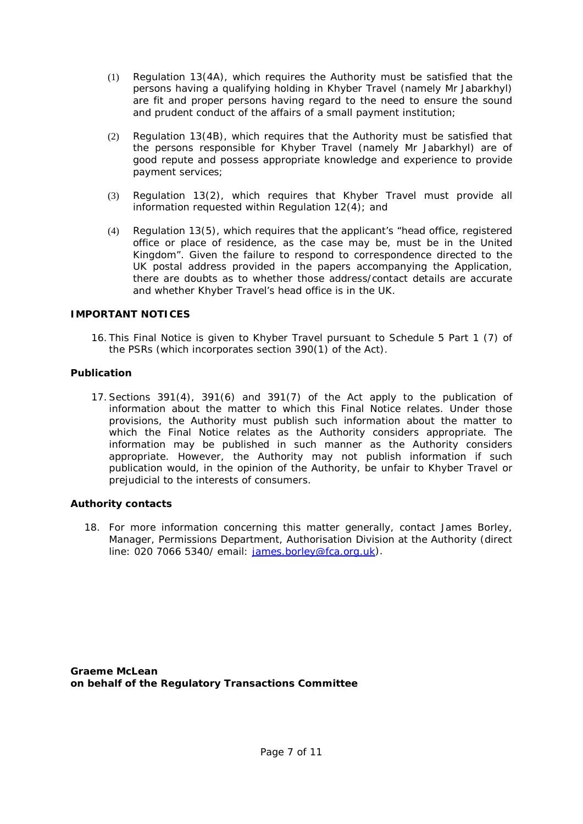- (1) Regulation 13(4A), which requires the Authority must be satisfied that the persons having a qualifying holding in Khyber Travel (namely Mr Jabarkhyl) are fit and proper persons having regard to the need to ensure the sound and prudent conduct of the affairs of a small payment institution;
- (2) Regulation 13(4B), which requires that the Authority must be satisfied that the persons responsible for Khyber Travel (namely Mr Jabarkhyl) are of good repute and possess appropriate knowledge and experience to provide payment services;
- (3) Regulation 13(2), which requires that Khyber Travel must provide all information requested within Regulation 12(4); and
- (4) Regulation 13(5), which requires that the applicant's "*head office, registered office or place of residence, as the case may be, must be in the United Kingdom"*. Given the failure to respond to correspondence directed to the UK postal address provided in the papers accompanying the Application, there are doubts as to whether those address/contact details are accurate and whether Khyber Travel's head office is in the UK.

# **IMPORTANT NOTICES**

16. This Final Notice is given to Khyber Travel pursuant to Schedule 5 Part 1 (7) of the PSRs (which incorporates section 390(1) of the Act).

# **Publication**

17.Sections 391(4), 391(6) and 391(7) of the Act apply to the publication of information about the matter to which this Final Notice relates. Under those provisions, the Authority must publish such information about the matter to which the Final Notice relates as the Authority considers appropriate. The information may be published in such manner as the Authority considers appropriate. However, the Authority may not publish information if such publication would, in the opinion of the Authority, be unfair to Khyber Travel or prejudicial to the interests of consumers.

#### **Authority contacts**

18. For more information concerning this matter generally, contact James Borley*,* Manager, Permissions Department, Authorisation Division at the Authority (direct line: 020 7066 5340/ email: [james.borley@fca.org.uk\)](mailto:james.borley@fca.org.uk).

**Graeme McLean on behalf of the Regulatory Transactions Committee**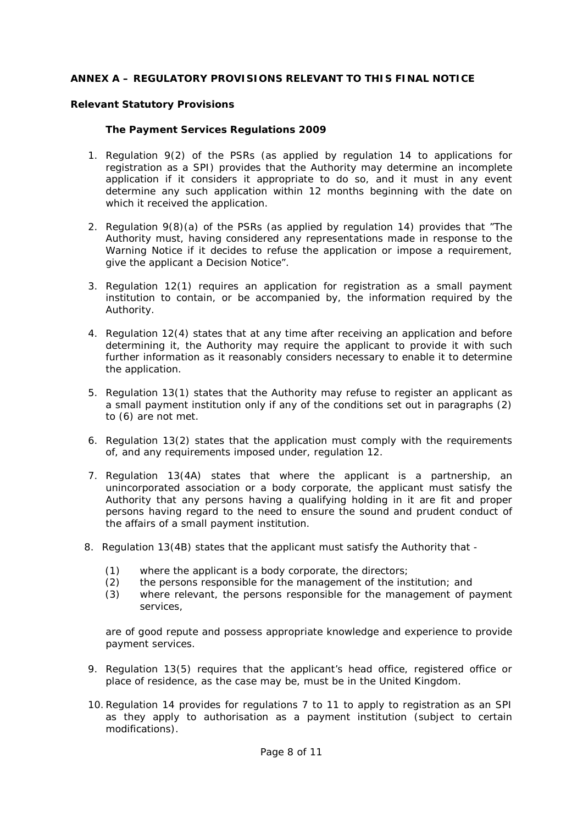# **ANNEX A – REGULATORY PROVISIONS RELEVANT TO THIS FINAL NOTICE**

# **Relevant Statutory Provisions**

# *The Payment Services Regulations 2009*

- 1. Regulation 9(2) of the PSRs (as applied by regulation 14 to applications for registration as a SPI) provides that the Authority may determine an incomplete application if it considers it appropriate to do so, and it must in any event determine any such application within 12 months beginning with the date on which it received the application.
- 2. Regulation 9(8)(a) of the PSRs (as applied by regulation 14) provides that "The Authority must, having considered any representations made in response to the Warning Notice if it decides to refuse the application or impose a requirement, give the applicant a Decision Notice".
- 3. Regulation 12(1) requires an application for registration as a small payment institution to contain, or be accompanied by, the information required by the Authority.
- 4. Regulation 12(4) states that at any time after receiving an application and before determining it, the Authority may require the applicant to provide it with such further information as it reasonably considers necessary to enable it to determine the application.
- 5. Regulation 13(1) states that the Authority may refuse to register an applicant as a small payment institution only if any of the conditions set out in paragraphs (2) to (6) are not met.
- 6. Regulation 13(2) states that the application must comply with the requirements of, and any requirements imposed under, regulation 12.
- 7. Regulation 13(4A) states that where the applicant is a partnership, an unincorporated association or a body corporate, the applicant must satisfy the Authority that any persons having a qualifying holding in it are fit and proper persons having regard to the need to ensure the sound and prudent conduct of the affairs of a small payment institution*.*
- 8. Regulation 13(4B) states that the applicant must satisfy the Authority that
	- (1) where the applicant is a body corporate, the directors;
	- (2) the persons responsible for the management of the institution; and
	- (3) where relevant, the persons responsible for the management of payment services,

are of good repute and possess appropriate knowledge and experience to provide payment services*.*

- 9. Regulation 13(5) requires that the applicant's head office, registered office or place of residence, as the case may be, must be in the United Kingdom.
- 10.Regulation 14 provides for regulations 7 to 11 to apply to registration as an SPI as they apply to authorisation as a payment institution (subject to certain modifications).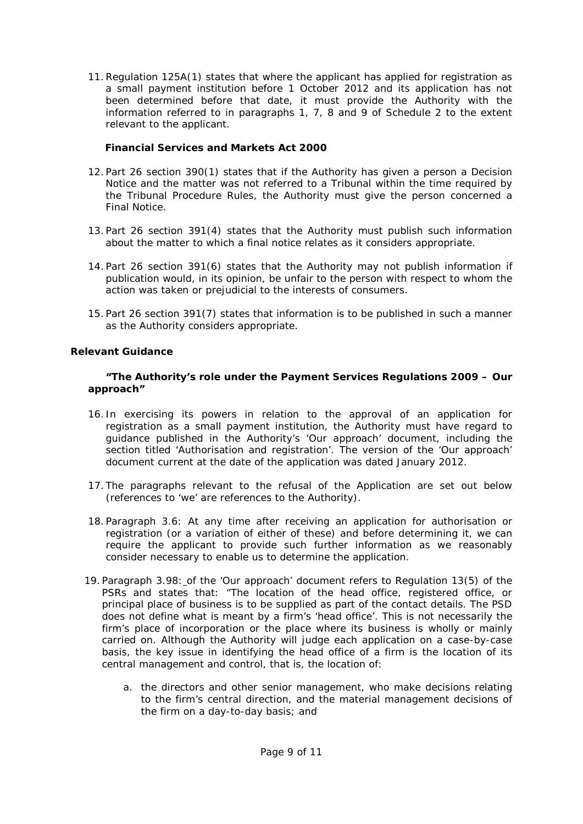11.Regulation 125A(1) states that where the applicant has applied for registration as a small payment institution before 1 October 2012 and its application has not been determined before that date, it must provide the Authority with the information referred to in paragraphs 1, 7, 8 and 9 of Schedule 2 to the extent relevant to the applicant.

# *Financial Services and Markets Act 2000*

- 12. Part 26 section 390(1) states that if the Authority has given a person a Decision Notice and the matter was not referred to a Tribunal within the time required by the Tribunal Procedure Rules, the Authority must give the person concerned a Final Notice.
- 13. Part 26 section 391(4) states that the Authority must publish such information about the matter to which a final notice relates as it considers appropriate.
- 14. Part 26 section 391(6) states that the Authority may not publish information if publication would, in its opinion, be unfair to the person with respect to whom the action was taken or prejudicial to the interests of consumers.
- 15. Part 26 section 391(7) states that information is to be published in such a manner as the Authority considers appropriate.

# **Relevant Guidance**

#### *"The Authority's role under the Payment Services Regulations 2009 – Our approach"*

- 16. In exercising its powers in relation to the approval of an application for registration as a small payment institution, the Authority must have regard to guidance published in the Authority's 'Our approach' document, including the section titled 'Authorisation and registration'. The version of the 'Our approach' document current at the date of the application was dated January 2012.
- 17. The paragraphs relevant to the refusal of the Application are set out below (references to 'we' are references to the Authority).
- 18. Paragraph 3.6: At any time after receiving an application for authorisation or registration (or a variation of either of these) and before determining it, we can require the applicant to provide such further information as we reasonably consider necessary to enable us to determine the application.
- 19. Paragraph 3.98: of the 'Our approach' document refers to Regulation 13(5) of the PSRs and states that: "The location of the head office, registered office, or principal place of business is to be supplied as part of the contact details. The PSD does not define what is meant by a firm's 'head office'. This is not necessarily the firm's place of incorporation or the place where its business is wholly or mainly carried on. Although the Authority will judge each application on a case-by-case basis, the key issue in identifying the head office of a firm is the location of its central management and control, that is, the location of:
	- a. the directors and other senior management, who make decisions relating to the firm's central direction, and the material management decisions of the firm on a day-to-day basis; and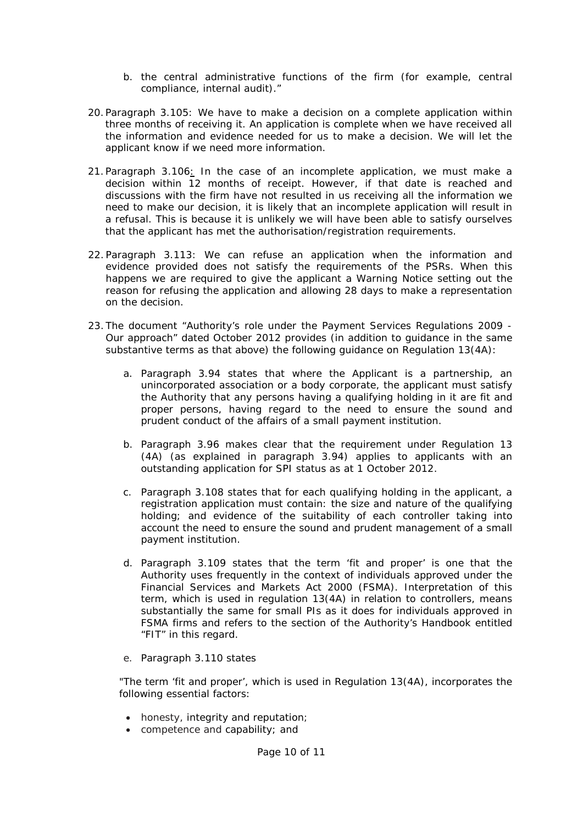- b. the central administrative functions of the firm (for example, central compliance, internal audit)."
- 20.Paragraph 3.105: We have to make a decision on a complete application within three months of receiving it. An application is complete when we have received all the information and evidence needed for us to make a decision. We will let the applicant know if we need more information.
- 21.Paragraph 3.106: In the case of an incomplete application, we must make a decision within 12 months of receipt. However, if that date is reached and discussions with the firm have not resulted in us receiving all the information we need to make our decision, it is likely that an incomplete application will result in a refusal. This is because it is unlikely we will have been able to satisfy ourselves that the applicant has met the authorisation/registration requirements.
- 22. Paragraph 3.113: We can refuse an application when the information and evidence provided does not satisfy the requirements of the PSRs. When this happens we are required to give the applicant a Warning Notice setting out the reason for refusing the application and allowing 28 days to make a representation on the decision.
- 23. The document "Authority's role under the Payment Services Regulations 2009 Our approach" dated October 2012 provides (in addition to guidance in the same substantive terms as that above) the following guidance on Regulation 13(4A):
	- a. Paragraph 3.94 states that where the Applicant is a partnership, an unincorporated association or a body corporate, the applicant must satisfy the Authority that any persons having a qualifying holding in it are fit and proper persons, having regard to the need to ensure the sound and prudent conduct of the affairs of a small payment institution.
	- b. Paragraph 3.96 makes clear that the requirement under Regulation 13 (4A) (as explained in paragraph 3.94) applies to applicants with an outstanding application for SPI status as at 1 October 2012.
	- c. Paragraph 3.108 states that for each qualifying holding in the applicant, a registration application must contain: the size and nature of the qualifying holding; and evidence of the suitability of each controller taking into account the need to ensure the sound and prudent management of a small payment institution.
	- d. Paragraph 3.109 states that the term 'fit and proper' is one that the Authority uses frequently in the context of individuals approved under the Financial Services and Markets Act 2000 (FSMA). Interpretation of this term, which is used in regulation 13(4A) in relation to controllers, means substantially the same for small PIs as it does for individuals approved in FSMA firms and refers to the section of the Authority's Handbook entitled "FIT" in this regard.
	- e. Paragraph 3.110 states

"The term 'fit and proper', which is used in Regulation 13(4A), incorporates the following essential factors:

- honesty, integrity and reputation;
- competence and capability; and